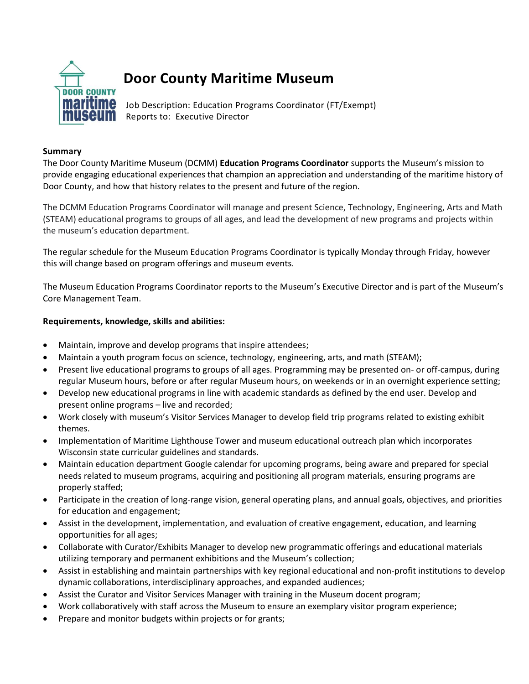

## **Door County Maritime Museum**

**Mallume** Job Description: Education Programs Coordinator (FT/Exempt) **MUSCUM** Reports to: Executive Director

## **Summary**

The Door County Maritime Museum (DCMM) **Education Programs Coordinator** supports the Museum's mission to provide engaging educational experiences that champion an appreciation and understanding of the maritime history of Door County, and how that history relates to the present and future of the region.

The DCMM Education Programs Coordinator will manage and present Science, Technology, Engineering, Arts and Math (STEAM) educational programs to groups of all ages, and lead the development of new programs and projects within the museum's education department.

The regular schedule for the Museum Education Programs Coordinator is typically Monday through Friday, however this will change based on program offerings and museum events.

The Museum Education Programs Coordinator reports to the Museum's Executive Director and is part of the Museum's Core Management Team.

## **Requirements, knowledge, skills and abilities:**

- Maintain, improve and develop programs that inspire attendees;
- Maintain a youth program focus on science, technology, engineering, arts, and math (STEAM);
- Present live educational programs to groups of all ages. Programming may be presented on- or off-campus, during regular Museum hours, before or after regular Museum hours, on weekends or in an overnight experience setting;
- Develop new educational programs in line with academic standards as defined by the end user. Develop and present online programs – live and recorded;
- Work closely with museum's Visitor Services Manager to develop field trip programs related to existing exhibit themes.
- Implementation of Maritime Lighthouse Tower and museum educational outreach plan which incorporates Wisconsin state curricular guidelines and standards.
- Maintain education department Google calendar for upcoming programs, being aware and prepared for special needs related to museum programs, acquiring and positioning all program materials, ensuring programs are properly staffed;
- Participate in the creation of long-range vision, general operating plans, and annual goals, objectives, and priorities for education and engagement;
- Assist in the development, implementation, and evaluation of creative engagement, education, and learning opportunities for all ages;
- Collaborate with Curator/Exhibits Manager to develop new programmatic offerings and educational materials utilizing temporary and permanent exhibitions and the Museum's collection;
- Assist in establishing and maintain partnerships with key regional educational and non-profit institutions to develop dynamic collaborations, interdisciplinary approaches, and expanded audiences;
- Assist the Curator and Visitor Services Manager with training in the Museum docent program;
- Work collaboratively with staff across the Museum to ensure an exemplary visitor program experience;
- Prepare and monitor budgets within projects or for grants;